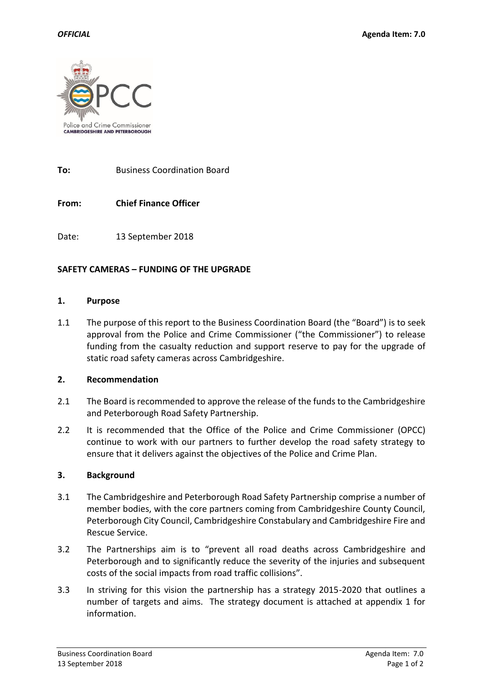

**To:** Business Coordination Board

**From: Chief Finance Officer**

Date: 13 September 2018

## **SAFETY CAMERAS – FUNDING OF THE UPGRADE**

#### **1. Purpose**

1.1 The purpose of this report to the Business Coordination Board (the "Board") is to seek approval from the Police and Crime Commissioner ("the Commissioner") to release funding from the casualty reduction and support reserve to pay for the upgrade of static road safety cameras across Cambridgeshire.

### **2. Recommendation**

- 2.1 The Board is recommended to approve the release of the funds to the Cambridgeshire and Peterborough Road Safety Partnership.
- 2.2 It is recommended that the Office of the Police and Crime Commissioner (OPCC) continue to work with our partners to further develop the road safety strategy to ensure that it delivers against the objectives of the Police and Crime Plan.

#### **3. Background**

- 3.1 The Cambridgeshire and Peterborough Road Safety Partnership comprise a number of member bodies, with the core partners coming from Cambridgeshire County Council, Peterborough City Council, Cambridgeshire Constabulary and Cambridgeshire Fire and Rescue Service.
- 3.2 The Partnerships aim is to "prevent all road deaths across Cambridgeshire and Peterborough and to significantly reduce the severity of the injuries and subsequent costs of the social impacts from road traffic collisions".
- 3.3 In striving for this vision the partnership has a strategy 2015-2020 that outlines a number of targets and aims. The strategy document is attached at appendix 1 for information.